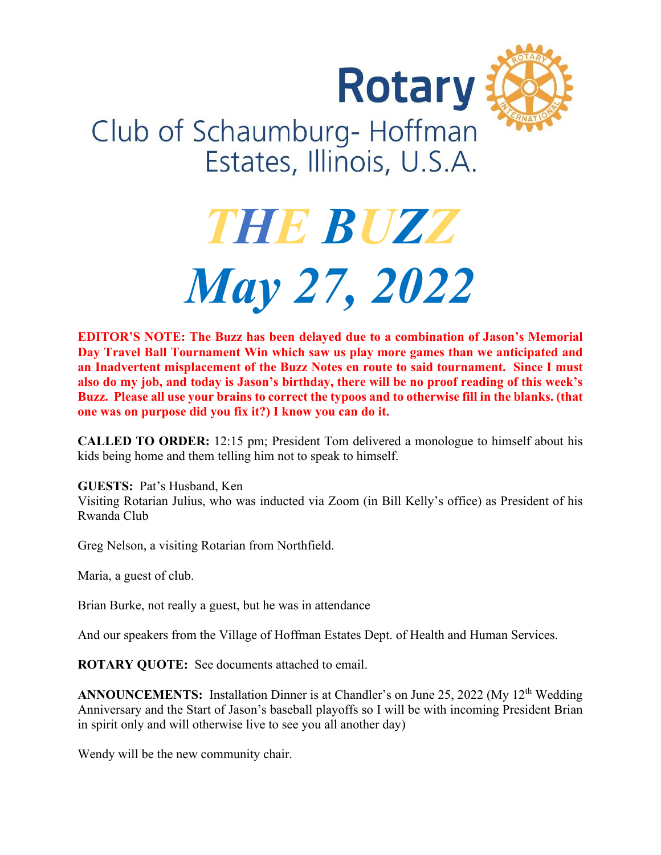



## Club of Schaumburg-Hoffman Estates, Illinois, U.S.A.

# *THE BUZZ May 27, 2022*

**EDITOR'S NOTE: The Buzz has been delayed due to a combination of Jason's Memorial Day Travel Ball Tournament Win which saw us play more games than we anticipated and an Inadvertent misplacement of the Buzz Notes en route to said tournament. Since I must also do my job, and today is Jason's birthday, there will be no proof reading of this week's Buzz. Please all use your brains to correct the typoos and to otherwise fill in the blanks. (that one was on purpose did you fix it?) I know you can do it.**

**CALLED TO ORDER:** 12:15 pm; President Tom delivered a monologue to himself about his kids being home and them telling him not to speak to himself.

**GUESTS:** Pat's Husband, Ken Visiting Rotarian Julius, who was inducted via Zoom (in Bill Kelly's office) as President of his Rwanda Club

Greg Nelson, a visiting Rotarian from Northfield.

Maria, a guest of club.

Brian Burke, not really a guest, but he was in attendance

And our speakers from the Village of Hoffman Estates Dept. of Health and Human Services.

**ROTARY QUOTE:** See documents attached to email.

**ANNOUNCEMENTS:** Installation Dinner is at Chandler's on June 25, 2022 (My 12<sup>th</sup> Wedding Anniversary and the Start of Jason's baseball playoffs so I will be with incoming President Brian in spirit only and will otherwise live to see you all another day)

Wendy will be the new community chair.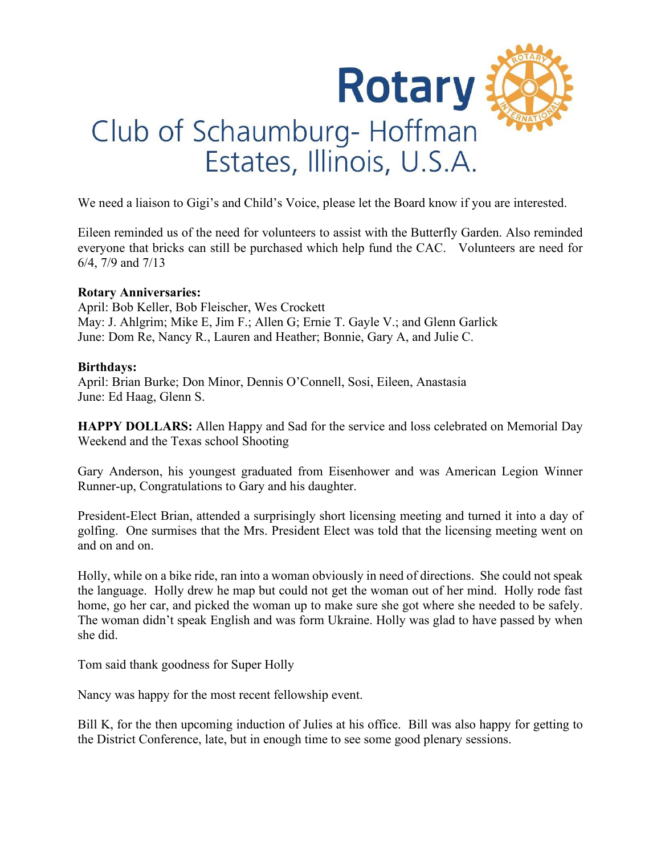

We need a liaison to Gigi's and Child's Voice, please let the Board know if you are interested.

Eileen reminded us of the need for volunteers to assist with the Butterfly Garden. Also reminded everyone that bricks can still be purchased which help fund the CAC. Volunteers are need for 6/4, 7/9 and 7/13

#### **Rotary Anniversaries:**

April: Bob Keller, Bob Fleischer, Wes Crockett May: J. Ahlgrim; Mike E, Jim F.; Allen G; Ernie T. Gayle V.; and Glenn Garlick June: Dom Re, Nancy R., Lauren and Heather; Bonnie, Gary A, and Julie C.

#### **Birthdays:**

April: Brian Burke; Don Minor, Dennis O'Connell, Sosi, Eileen, Anastasia June: Ed Haag, Glenn S.

**HAPPY DOLLARS:** Allen Happy and Sad for the service and loss celebrated on Memorial Day Weekend and the Texas school Shooting

Gary Anderson, his youngest graduated from Eisenhower and was American Legion Winner Runner-up, Congratulations to Gary and his daughter.

President-Elect Brian, attended a surprisingly short licensing meeting and turned it into a day of golfing. One surmises that the Mrs. President Elect was told that the licensing meeting went on and on and on.

Holly, while on a bike ride, ran into a woman obviously in need of directions. She could not speak the language. Holly drew he map but could not get the woman out of her mind. Holly rode fast home, go her car, and picked the woman up to make sure she got where she needed to be safely. The woman didn't speak English and was form Ukraine. Holly was glad to have passed by when she did.

Tom said thank goodness for Super Holly

Nancy was happy for the most recent fellowship event.

Bill K, for the then upcoming induction of Julies at his office. Bill was also happy for getting to the District Conference, late, but in enough time to see some good plenary sessions.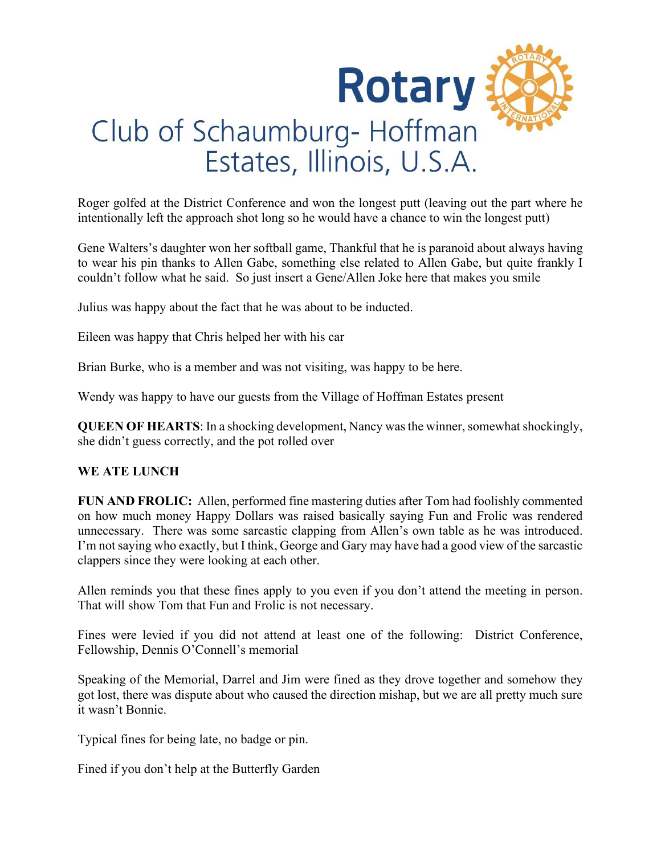

Roger golfed at the District Conference and won the longest putt (leaving out the part where he intentionally left the approach shot long so he would have a chance to win the longest putt)

Gene Walters's daughter won her softball game, Thankful that he is paranoid about always having to wear his pin thanks to Allen Gabe, something else related to Allen Gabe, but quite frankly I couldn't follow what he said. So just insert a Gene/Allen Joke here that makes you smile

Julius was happy about the fact that he was about to be inducted.

Eileen was happy that Chris helped her with his car

Brian Burke, who is a member and was not visiting, was happy to be here.

Wendy was happy to have our guests from the Village of Hoffman Estates present

**QUEEN OF HEARTS:** In a shocking development, Nancy was the winner, somewhat shockingly, she didn't guess correctly, and the pot rolled over

#### **WE ATE LUNCH**

**FUN AND FROLIC:** Allen, performed fine mastering duties after Tom had foolishly commented on how much money Happy Dollars was raised basically saying Fun and Frolic was rendered unnecessary. There was some sarcastic clapping from Allen's own table as he was introduced. I'm not saying who exactly, but I think, George and Gary may have had a good view of the sarcastic clappers since they were looking at each other.

Allen reminds you that these fines apply to you even if you don't attend the meeting in person. That will show Tom that Fun and Frolic is not necessary.

Fines were levied if you did not attend at least one of the following: District Conference, Fellowship, Dennis O'Connell's memorial

Speaking of the Memorial, Darrel and Jim were fined as they drove together and somehow they got lost, there was dispute about who caused the direction mishap, but we are all pretty much sure it wasn't Bonnie.

Typical fines for being late, no badge or pin.

Fined if you don't help at the Butterfly Garden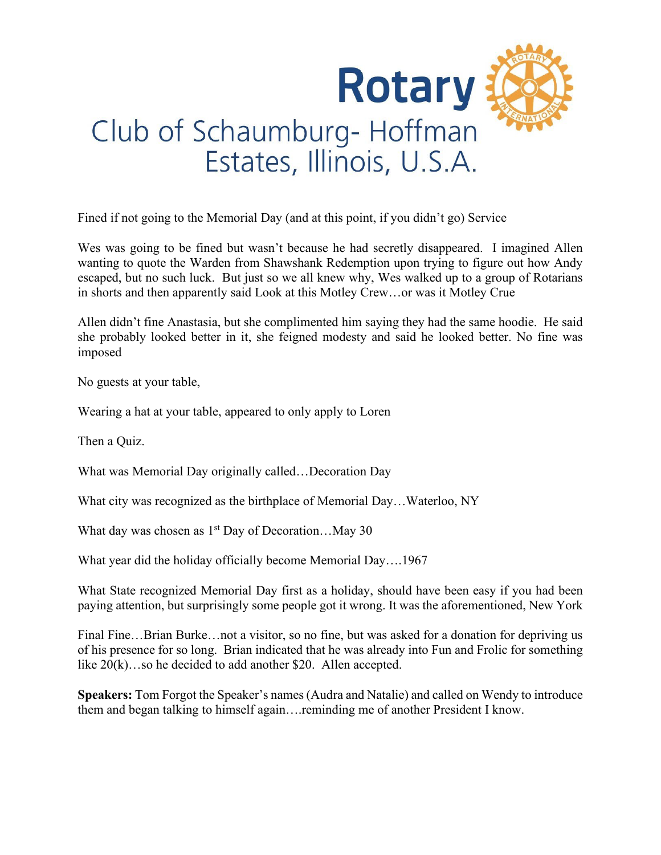

Fined if not going to the Memorial Day (and at this point, if you didn't go) Service

Wes was going to be fined but wasn't because he had secretly disappeared. I imagined Allen wanting to quote the Warden from Shawshank Redemption upon trying to figure out how Andy escaped, but no such luck. But just so we all knew why, Wes walked up to a group of Rotarians in shorts and then apparently said Look at this Motley Crew…or was it Motley Crue

Allen didn't fine Anastasia, but she complimented him saying they had the same hoodie. He said she probably looked better in it, she feigned modesty and said he looked better. No fine was imposed

No guests at your table,

Wearing a hat at your table, appeared to only apply to Loren

Then a Quiz.

What was Memorial Day originally called…Decoration Day

What city was recognized as the birthplace of Memorial Day…Waterloo, NY

What day was chosen as  $1<sup>st</sup>$  Day of Decoration...May 30

What year did the holiday officially become Memorial Day….1967

What State recognized Memorial Day first as a holiday, should have been easy if you had been paying attention, but surprisingly some people got it wrong. It was the aforementioned, New York

Final Fine...Brian Burke…not a visitor, so no fine, but was asked for a donation for depriving us of his presence for so long. Brian indicated that he was already into Fun and Frolic for something like  $20(k)$ …so he decided to add another \$20. Allen accepted.

**Speakers:** Tom Forgot the Speaker's names (Audra and Natalie) and called on Wendy to introduce them and began talking to himself again….reminding me of another President I know.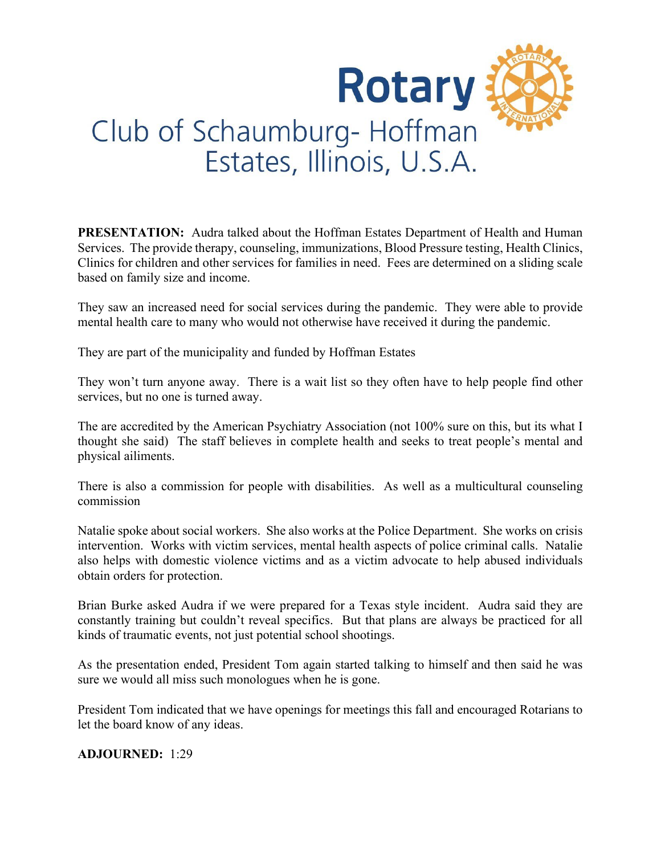

**PRESENTATION:** Audra talked about the Hoffman Estates Department of Health and Human Services. The provide therapy, counseling, immunizations, Blood Pressure testing, Health Clinics, Clinics for children and other services for families in need. Fees are determined on a sliding scale based on family size and income.

They saw an increased need for social services during the pandemic. They were able to provide mental health care to many who would not otherwise have received it during the pandemic.

They are part of the municipality and funded by Hoffman Estates

They won't turn anyone away. There is a wait list so they often have to help people find other services, but no one is turned away.

The are accredited by the American Psychiatry Association (not 100% sure on this, but its what I thought she said) The staff believes in complete health and seeks to treat people's mental and physical ailiments.

There is also a commission for people with disabilities. As well as a multicultural counseling commission

Natalie spoke about social workers. She also works at the Police Department. She works on crisis intervention. Works with victim services, mental health aspects of police criminal calls. Natalie also helps with domestic violence victims and as a victim advocate to help abused individuals obtain orders for protection.

Brian Burke asked Audra if we were prepared for a Texas style incident. Audra said they are constantly training but couldn't reveal specifics. But that plans are always be practiced for all kinds of traumatic events, not just potential school shootings.

As the presentation ended, President Tom again started talking to himself and then said he was sure we would all miss such monologues when he is gone.

President Tom indicated that we have openings for meetings this fall and encouraged Rotarians to let the board know of any ideas.

**ADJOURNED:** 1:29